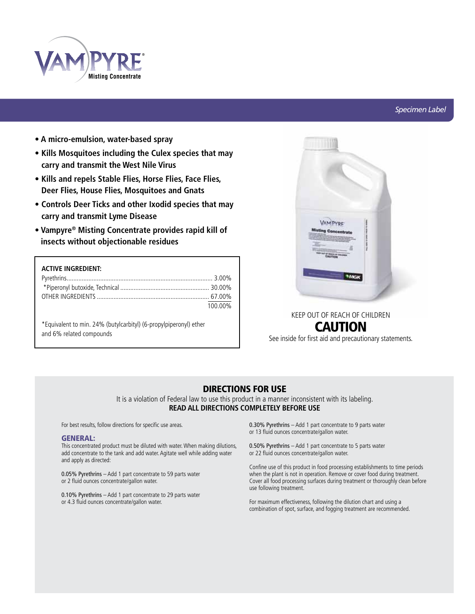

# *Specimen Label*

- **A micro-emulsion, water-based spray**
- **Kills Mosquitoes including the Culex species that may carry and transmit the West Nile Virus**
- **Kills and repels Stable Flies, Horse Flies, Face Flies, Deer Flies, House Flies, Mosquitoes and Gnats**
- **Controls Deer Ticks and other Ixodid species that may carry and transmit Lyme Disease**
- **Vampyre® Misting Concentrate provides rapid kill of insects without objectionable residues**

# **ACTIVE INGREDIENT:**

| 100.00% |
|---------|

\*Equivalent to min. 24% (butylcarbityl) (6-propylpiperonyl) ether and 6% related compounds



# KEEP OUT OF REACH OF CHILDREN CAUTION

See inside for first aid and precautionary statements.

# DIRECTIONS FOR USE

It is a violation of Federal law to use this product in a manner inconsistent with its labeling. **READ ALL DIRECTIONS COMPLETELY BEFORE USE**

For best results, follow directions for specific use areas.

### GENERAL:

This concentrated product must be diluted with water. When making dilutions, add concentrate to the tank and add water. Agitate well while adding water and apply as directed:

0.05% Pyrethrins – Add 1 part concentrate to 59 parts water or 2 fluid ounces concentrate/gallon water.

0.10% Pyrethrins – Add 1 part concentrate to 29 parts water or 4.3 fluid ounces concentrate/gallon water.

0.30% Pyrethrins – Add 1 part concentrate to 9 parts water or 13 fluid ounces concentrate/gallon water.

0.50% Pyrethrins – Add 1 part concentrate to 5 parts water or 22 fluid ounces concentrate/gallon water.

Confine use of this product in food processing establishments to time periods when the plant is not in operation. Remove or cover food during treatment. Cover all food processing surfaces during treatment or thoroughly clean before use following treatment.

For maximum effectiveness, following the dilution chart and using a combination of spot, surface, and fogging treatment are recommended.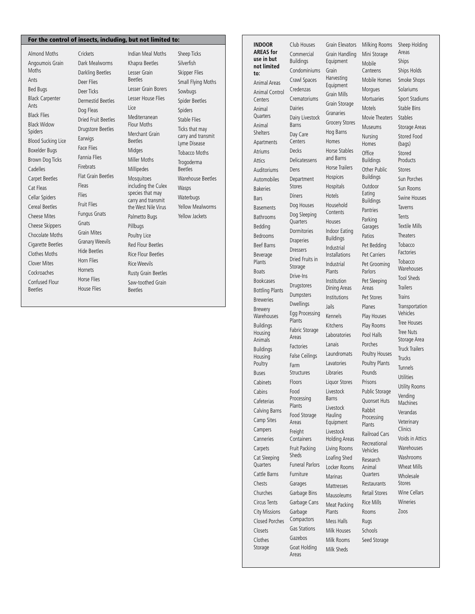# For the control of insects, including, but not limited to: **INDOOR INDOOR**

Almond Moths Angoumois Grain Moths Ants Bed Bugs Black Carpenter Ants Black Flies Black Widow Spiders Blood Sucking Lice Boxelder Bugs Brown Dog Ticks Cadelles Carpet Beetles Cat Fleas Cellar Spiders Cereal Beetles Cheese Mites Cheese Skippers Chocolate Moths Cigarette Beetles Clothes Moths Clover Mites Cockroaches Confused Flour Beetles

Crickets Dark Mealworms Darkling Beetles Deer Flies Deer Ticks Dermestid Beetles Dog Fleas Dried Fruit Beetles Drugstore Beetles Earwigs Face Flies Fannia Flies Firebrats Flat Grain Beetles Fruit Flies Fungus Gnats Grain Mites Granary Weevils Hide Beetles Horn Flies Hornets Horse Flies House Flies Indian Meal Moths Khapra Beetles Lesser Grain Beetles Lesser Grain Borers Lesser House Flies Lice Mediterranean Flour Moths Merchant Grain Beetles Midges Miller Moths Millipedes **Mosquitoes** including the Culex species that may carry and transmit the West Nile Virus Palmetto Bugs Pillbugs Poultry Lice Red Flour Beetles Rice Flour Beetles Rice Weevils Rusty Grain Beetles Saw-toothed Grain Beetles

Fleas Flies

Gnats

Sheep Ticks Silverfish Skipper Flies Small Flying Moths Sowbugs Spider Beetles Spiders Stable Flies Ticks that may carry and transmit Lyme Disease Tobacco Moths Trogoderma Beetles Warehouse Beetles Wasps Waterbugs Yellow Mealworms Yellow Jackets

**AREAS for use in but not limited to:** Animal Areas Animal Control Centers Animal **Ouarters** Animal Shelters Apartments Atriums Attics Auditoriums Automobiles Bakeries Bars **Basements** Bathrooms Bedding Bedrooms Beef Barns Beverage Plants **Boats** Bookcases Bottling Plants Breweries Brewery **Warehouses** Buildings Housing Animals Buildings Housing Poultry Buses **Cabinets** Cabins Cafeterias Calving Barns Camp Sites Campers Canneries Carpets Cat Sleeping **Quarters** Cattle Barns Chests Churches Circus Tents City Missions Closed Porches Closets Club Houses Commercial Buildings Condominiums Crawl Spaces Credenzas Crematoriums Dairies Dairy Livestock Barns Day Care Centers Decks Delicatessens Dens Department Stores **Diners** Dog Houses Dog Sleeping **Ouarters** Dormitories **Draperies** Dressers Dried Fruits in Storage Drive-Ins Drugstores Dumpsters Dwellings Egg Processing Plants Fabric Storage Areas Factories False Ceilings Farm Structures Floors Food Processing Plants Food Storage Areas Freight **Containers** Fruit Packing Sheds Funeral Parlors Furniture Garages Garbage Bins Garbage Cans Garbage Compactors Gas Stations

Clothes Storage

Gazebos Goat Holding Areas

Grain Elevators Milking Rooms Grain Handling Equipment Grain Harvesting Equipment Grain Mills Grain Storage Granaries Grocery Stores Hog Barns Homes Horse Stables and Barns Horse Trailers Hospices Hospitals Hotels Household Contents Houses Indoor Eating Buildings Industrial Installations Industrial Plants Institution Dining Areas Institutions Jails Kennels Kitchens Laboratories Lanais Laundromats Lavatories Libraries Liquor Stores Livestock Barns Livestock Hauling Equipment Livestock Holding Areas Living Rooms Loafing Shed Locker Rooms Marinas Mattresses Mausoleums Meat Packing Plants Mess Halls Milk Houses Milk Rooms Milk Sheds

Mini Storage Mobile Canteens Mobile Homes **Morgues** Mortuaries Motels Movie Theaters Museums Nursing Homes **Office** Buildings Other Public Buildings Outdoor Eating Buildings Pantries Parking Garages Patios Pet Bedding Pet Carriers Pet Grooming **Parlors** Pet Sleeping Areas Pet Stores Planes Play Houses Play Rooms Pool Halls Porches Poultry Houses Poultry Plants Pounds Prisons Public Storage Quonset Huts Rabbit Processing **Plants** Railroad Cars Recreational Vehicles Research Animal **Quarters Restaurants** Retail Stores Rice Mills Rooms Rugs Schools Seed Storage Areas Ships (bags) Stored Stores Tents **Trains Trucks** Clinics Stores Zoos

Sheep Holding Ships Holds Smoke Shops Solariums Sport Stadiums Stable Bins Stables Storage Areas Stored Food Products Sun Porches Sun Rooms Swine Houses Taverns Textile Mills **Theaters** Tobacco Factories **Tobacco** Warehouses Tool Sheds **Trailers** Transportation Vehicles Tree Houses Tree Nuts Storage Area Truck Trailers Tunnels Utilities Utility Rooms Vending Machines Verandas Veterinary Voids in Attics Warehouses Washrooms Wheat Mills Wholesale Wine Cellars Wineries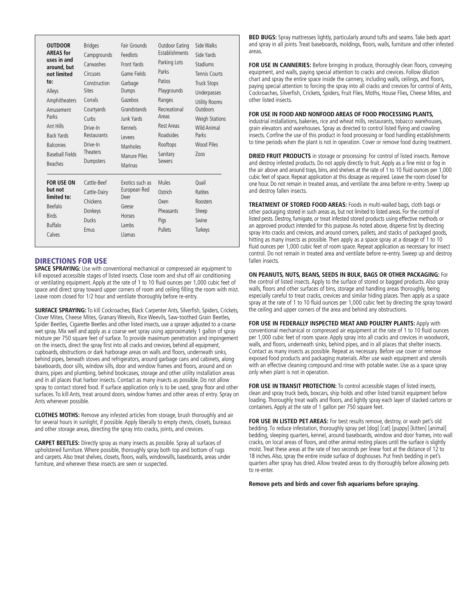| <b>OUTDOOR</b><br><b>AREAS</b> for<br>uses in and<br>around, but<br>not limited<br>to:<br>Alleys<br>Amphitheaters<br>Amusement<br>Parks<br>Ant Hills<br><b>Back Yards</b><br><b>Balconies</b><br><b>Baseball Fields</b><br><b>Beaches</b> | <b>Bridges</b><br>Campgrounds<br>Carwashes<br>Circuses<br>Construction<br><b>Sites</b><br>Corrals<br>Courtyards<br>Curbs<br>Drive-In<br>Restaurants<br>Drive-In<br><b>Theaters</b><br>Dumpsters | Fair Grounds<br>Feedlots<br>Front Yards<br>Game Fields<br>Garbage<br>Dumps<br>Gazebos<br>Grandstands<br>Junk Yards<br>Kennels<br><b>Levees</b><br>Manholes<br><b>Manure Piles</b><br>Marinas | Outdoor Eating<br><b>Establishments</b><br>Parking Lots<br>Parks<br>Patios<br>Playgrounds<br>Ranges<br>Recreational<br>Areas<br><b>Rest Areas</b><br>Roadsides<br>Rooftops<br>Sanitary<br>Sewers | Side Walks<br>Side Yards<br>Stadiums<br>Tennis Courts<br>Truck Stops<br>Underpasses<br><b>Utility Rooms</b><br><b>Outdoors</b><br><b>Weigh Stations</b><br><b>Wild Animal</b><br>Parks<br><b>Wood Piles</b><br>Zoos |
|-------------------------------------------------------------------------------------------------------------------------------------------------------------------------------------------------------------------------------------------|-------------------------------------------------------------------------------------------------------------------------------------------------------------------------------------------------|----------------------------------------------------------------------------------------------------------------------------------------------------------------------------------------------|--------------------------------------------------------------------------------------------------------------------------------------------------------------------------------------------------|---------------------------------------------------------------------------------------------------------------------------------------------------------------------------------------------------------------------|
| <b>FOR USE ON</b><br>but not<br>limited to:<br><b>Beefalo</b><br><b>Rirds</b><br><b>Buffalo</b><br>Calves                                                                                                                                 | Cattle-Beef<br>Cattle-Dairy<br>Chickens<br>Donkeys<br>Ducks<br>Fmus                                                                                                                             | Exotics such as<br>European Red<br>Deer<br>Geese<br>Horses<br>I ambs<br>Llamas                                                                                                               | Mules<br>Ostrich<br>Oxen<br>Pheasants<br>Pigs<br>Pullets                                                                                                                                         | Ouail<br>Ratites<br><b>Roosters</b><br>Sheep<br>Swine<br>Turkeys                                                                                                                                                    |

### DIRECTIONS FOR USE

**SPACE SPRAYING:** Use with conventional mechanical or compressed air equipment to kill exposed accessible stages of listed insects. Close room and shut off air conditioning or ventilating equipment. Apply at the rate of 1 to 10 fluid ounces per 1,000 cubic feet of space and direct spray toward upper corners of room and ceiling filling the room with mist. Leave room closed for 1/2 hour and ventilate thoroughly before re-entry.

**SURFACE SPRAYING:** To kill Cockroaches, Black Carpenter Ants, Silverfish, Spiders, Crickets, Clover Mites, Cheese Mites, Granary Weevils, Rice Weevils, Saw-toothed Grain Beetles, Spider Beetles, Cigarette Beetles and other listed insects, use a sprayer adjusted to a coarse wet spray. Mix well and apply as a coarse wet spray using approximately 1 gallon of spray mixture per 750 square feet of surface. To provide maximum penetration and impingement on the insects, direct the spray first into all cracks and crevices, behind all equipment, cupboards, obstructions or dark harborage areas on walls and floors, underneath sinks, behind pipes, beneath stoves and refrigerators, around garbage cans and cabinets, along baseboards, door sills, window sills, door and window frames and floors, around and on drains, pipes and plumbing, behind bookcases, storage and other utility installation areas and in all places that harbor insects. Contact as many insects as possible. Do not allow spray to contact stored food. If surface application only is to be used, spray floor and other surfaces. To kill Ants, treat around doors, window frames and other areas of entry. Spray on Ants whenever possible.

**CLOTHES MOTHS:** Remove any infested articles from storage, brush thoroughly and air for several hours in sunlight, if possible. Apply liberally to empty chests, closets, bureaus and other storage areas, directing the spray into cracks, joints, and crevices.

**CARPET BEETLES:** Directly spray as many insects as possible. Spray all surfaces of upholstered furniture. Where possible, thoroughly spray both top and bottom of rugs and carpets. Also treat shelves, closets, floors, walls, windowsills, baseboards, areas under furniture, and wherever these insects are seen or suspected.

**BED BUGS:** Spray mattresses lightly, particularly around tufts and seams. Take beds apart and spray in all joints. Treat baseboards, moldings, floors, walls, furniture and other infested areas.

FOR USE IN CANNERIES: Before bringing in produce, thoroughly clean floors, conveying equipment, and walls, paying special attention to cracks and crevices. Follow dilution chart and spray the entire space inside the cannery, including walls, ceilings, and floors, paying special attention to forcing the spray into all cracks and crevices for control of Ants, Cockroaches, Silverfish, Crickets, Spiders, Fruit Flies, Moths, House Flies, Cheese Mites, and other listed insects.

#### **FOR USE IN FOOD AND NONFOOD AREAS OF FOOD PROCESSING PLANTS,**

industrial installations, bakeries, rice and wheat mills, restaurants, tobacco warehouses, grain elevators and warehouses. Spray as directed to control listed flying and crawling insects. Confine the use of this product in food processing or food handling establishments to time periods when the plant is not in operation. Cover or remove food during treatment.

**DRIED FRUIT PRODUCTS** in storage or processing: For control of listed insects. Remove and destroy infested products. Do not apply directly to fruit. Apply as a fine mist or fog in the air above and around trays, bins, and shelves at the rate of 1 to 10 fluid ounces per 1,000 cubic feet of space. Repeat application at this dosage as required. Leave the room closed for one hour. Do not remain in treated areas, and ventilate the area before re-entry. Sweep up and destroy fallen insects.

**TREATMENT OF STORED FOOD AREAS:** Foods in multi-walled bags, cloth bags or other packaging stored in such areas as, but not limited to listed areas. For the control of listed pests. Destroy, fumigate, or treat infested stored products using effective methods or an approved product intended for this purpose. As noted above, disperse first by directing spray into cracks and crevices, and around corners, pallets, and stacks of packaged goods, hitting as many insects as possible. Then apply as a space spray at a dosage of 1 to 10 fluid ounces per 1,000 cubic feet of room space. Repeat application as necessary for insect control. Do not remain in treated area and ventilate before re-entry. Sweep up and destroy fallen insects.

**ON PEANUTS, NUTS, BEANS, SEEDS IN BULK, BAGS OR OTHER PACKAGING:** For the control of listed insects. Apply to the surface of stored or bagged products. Also spray walls, floors and other surfaces of bins, storage and handling areas thoroughly, being especially careful to treat cracks, crevices and similar hiding places. Then apply as a space spray at the rate of 1 to 10 fluid ounces per 1,000 cubic feet by directing the spray toward the ceiling and upper corners of the area and behind any obstructions.

**FOR USE IN FEDERALLY INSPECTED MEAT AND POULTRY PLANTS:** Apply with conventional mechanical or compressed air equipment at the rate of 1 to 10 fluid ounces per 1,000 cubic feet of room space. Apply spray into all cracks and crevices in woodwork, walls, and floors, underneath sinks, behind pipes, and in all places that shelter insects. Contact as many insects as possible. Repeat as necessary. Before use cover or remove exposed food products and packaging materials. After use wash equipment and utensils with an effective cleaning compound and rinse with potable water. Use as a space spray only when plant is not in operation.

FOR USE IN TRANSIT PROTECTION: To control accessible stages of listed insects, clean and spray truck beds, boxcars, ship holds and other listed transit equipment before loading. Thoroughly treat walls and floors, and lightly spray each layer of stacked cartons or containers. Apply at the rate of 1 gallon per 750 square feet.

**FOR USE IN LISTED PET AREAS:** For best results remove, destroy, or wash pet's old bedding. To reduce infestation, thoroughly spray pet [dog] [cat] [puppy] [kitten] [animal] bedding, sleeping quarters, kennel, around baseboards, window and door frames, into wall cracks, on local areas of floors, and other animal resting places until the surface is slightly moist. Treat these areas at the rate of two seconds per linear foot at the distance of 12 to 18 inches. Also, spray the entire inside surface of doghouses. Put fresh bedding in pet's quarters after spray has dried. Allow treated areas to dry thoroughly before allowing pets to re-enter.

**Remove pets and birds and cover fish aquariums before spraying.**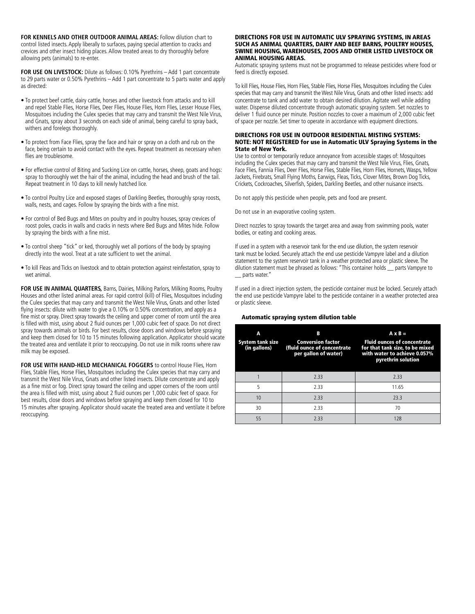**FOR KENNELS AND OTHER OUTDOOR ANIMAL AREAS:** Follow dilution chart to control listed insects. Apply liberally to surfaces, paying special attention to cracks and crevices and other insect hiding places. Allow treated areas to dry thoroughly before allowing pets (animals) to re-enter.

**FOR USE ON LIVESTOCK:** Dilute as follows: 0.10% Pyrethrins – Add 1 part concentrate to 29 parts water or 0.50% Pyrethrins – Add 1 part concentrate to 5 parts water and apply as directed:

- To protect beef cattle, dairy cattle, horses and other livestock from attacks and to kill and repel Stable Flies, Horse Flies, Deer Flies, House Flies, Horn Flies, Lesser House Flies, Mosquitoes including the Culex species that may carry and transmit the West Nile Virus, and Gnats, spray about 3 seconds on each side of animal, being careful to spray back, withers and forelegs thoroughly.
- To protect from Face Flies, spray the face and hair or spray on a cloth and rub on the face, being certain to avoid contact with the eyes. Repeat treatment as necessary when flies are troublesome.
- For effective control of Biting and Sucking Lice on cattle, horses, sheep, goats and hogs: spray to thoroughly wet the hair of the animal, including the head and brush of the tail. Repeat treatment in 10 days to kill newly hatched lice.
- To control Poultry Lice and exposed stages of Darkling Beetles, thoroughly spray roosts, walls, nests, and cages. Follow by spraying the birds with a fine mist.
- For control of Bed Bugs and Mites on poultry and in poultry houses, spray crevices of roost poles, cracks in walls and cracks in nests where Bed Bugs and Mites hide. Follow by spraying the birds with a fine mist.
- To control sheep "tick" or ked, thoroughly wet all portions of the body by spraying directly into the wool. Treat at a rate sufficient to wet the animal.
- To kill Fleas and Ticks on livestock and to obtain protection against reinfestation, spray to wet animal.

**FOR USE IN ANIMAL QUARTERS,** Barns, Dairies, Milking Parlors, Milking Rooms, Poultry Houses and other listed animal areas. For rapid control (kill) of Flies, Mosquitoes including the Culex species that may carry and transmit the West Nile Virus, Gnats and other listed flying insects: dilute with water to give a 0.10% or 0.50% concentration, and apply as a fine mist or spray. Direct spray towards the ceiling and upper corner of room until the area is filled with mist, using about 2 fluid ounces per 1,000 cubic feet of space. Do not direct spray towards animals or birds. For best results, close doors and windows before spraying and keep them closed for 10 to 15 minutes following application. Applicator should vacate the treated area and ventilate it prior to reoccupying. Do not use in milk rooms where raw milk may be exposed.

**FOR USE WITH HAND-HELD MECHANICAL FOGGERS** to control House Flies, Horn Flies, Stable Flies, Horse Flies, Mosquitoes including the Culex species that may carry and transmit the West Nile Virus, Gnats and other listed insects. Dilute concentrate and apply as a fine mist or fog. Direct spray toward the ceiling and upper corners of the room until the area is filled with mist, using about 2 fluid ounces per 1,000 cubic feet of space. For best results, close doors and windows before spraying and keep them closed for 10 to 15 minutes after spraying. Applicator should vacate the treated area and ventilate it before reoccupying.

#### DIRECTIONS FOR USE IN AUTOMATIC ULV SPRAYING SYSTEMS, IN AREAS SUCH AS ANIMAL QUARTERS, DAIRY AND BEEF BARNS, POULTRY HOUSES, SWINE HOUSING, WAREHOUSES, ZOOS AND OTHER LISTED LIVESTOCK OR ANIMAL HOUSING AREAS.

Automatic spraying systems must not be programmed to release pesticides where food or feed is directly exposed.

To kill Flies, House Flies, Horn Flies, Stable Flies, Horse Flies, Mosquitoes including the Culex species that may carry and transmit the West Nile Virus, Gnats and other listed insects: add concentrate to tank and add water to obtain desired dilution. Agitate well while adding water. Dispense diluted concentrate through automatic spraying system. Set nozzles to deliver 1 fluid ounce per minute. Position nozzles to cover a maximum of 2,000 cubic feet of space per nozzle. Set timer to operate in accordance with equipment directions.

#### DIRECTIONS FOR USE IN OUTDOOR RESIDENTIAL MISTING SYSTEMS: NOTE: NOT REGISTERED for use in Automatic ULV Spraying Systems in the State of New York.

Use to control or temporarily reduce annoyance from accessible stages of: Mosquitoes including the Culex species that may carry and transmit the West Nile Virus, Flies, Gnats, Face Flies, Fannia Flies, Deer Flies, Horse Flies, Stable Flies, Horn Flies, Hornets, Wasps, Yellow Jackets, Firebrats, Small Flying Moths, Earwigs, Fleas, Ticks, Clover Mites, Brown Dog Ticks, Crickets, Cockroaches, Silverfish, Spiders, Darkling Beetles, and other nuisance insects.

Do not apply this pesticide when people, pets and food are present.

Do not use in an evaporative cooling system.

Direct nozzles to spray towards the target area and away from swimming pools, water bodies, or eating and cooking areas.

If used in a system with a reservoir tank for the end use dilution, the system reservoir tank must be locked. Securely attach the end use pesticide Vampyre label and a dilution statement to the system reservoir tank in a weather protected area or plastic sleeve. The dilution statement must be phrased as follows: "This container holds \_\_ parts Vampyre to \_\_ parts water."

If used in a direct injection system, the pesticide container must be locked. Securely attach the end use pesticide Vampyre label to the pesticide container in a weather protected area or plastic sleeve.

#### Automatic spraying system dilution table

| Α<br><b>System tank size</b><br>(in gallons) | В<br><b>Conversion factor</b><br>(fluid ounce of concentrate)<br>per gallon of water) | $A \times B =$<br><b>Fluid ounces of concentrate</b><br>for that tank size, to be mixed<br>with water to achieve 0.057%<br>pyrethrin solution |
|----------------------------------------------|---------------------------------------------------------------------------------------|-----------------------------------------------------------------------------------------------------------------------------------------------|
|                                              | 2.33                                                                                  | 2.33                                                                                                                                          |
| 5                                            | 2.33                                                                                  | 11.65                                                                                                                                         |
| 10                                           | 2.33                                                                                  | 23.3                                                                                                                                          |
| 30                                           | 2.33                                                                                  | 70                                                                                                                                            |
| 55                                           | 2.33                                                                                  | 128                                                                                                                                           |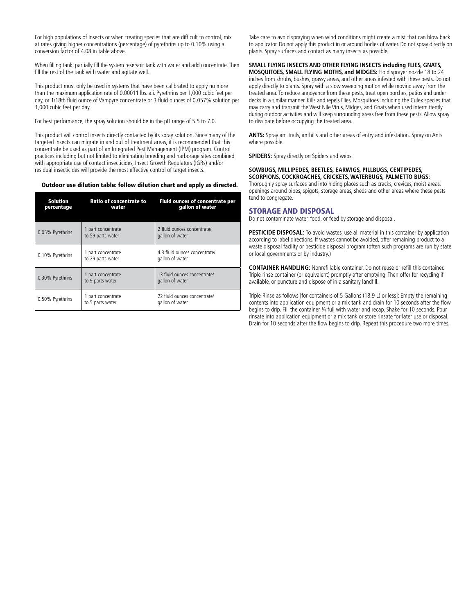For high populations of insects or when treating species that are difficult to control, mix at rates giving higher concentrations (percentage) of pyrethrins up to 0.10% using a conversion factor of 4.08 in table above.

When filling tank, partially fill the system reservoir tank with water and add concentrate. Then fill the rest of the tank with water and agitate well.

This product must only be used in systems that have been calibrated to apply no more than the maximum application rate of 0.00011 lbs. a.i. Pyrethrins per 1,000 cubic feet per day, or 1/18th fluid ounce of Vampyre concentrate or 3 fluid ounces of 0.057% solution per 1,000 cubic feet per day.

For best performance, the spray solution should be in the pH range of 5.5 to 7.0.

This product will control insects directly contacted by its spray solution. Since many of the targeted insects can migrate in and out of treatment areas, it is recommended that this concentrate be used as part of an Integrated Pest Management (IPM) program. Control practices including but not limited to eliminating breeding and harborage sites combined with appropriate use of contact insecticides, Insect Growth Regulators (IGRs) and/or residual insecticides will provide the most effective control of target insects.

#### Outdoor use dilution table: follow dilution chart and apply as directed.

| <b>Solution</b><br>percentage | Ratio of concentrate to<br>water        | <b>Fluid ounces of concentrate per</b><br>gallon of water |
|-------------------------------|-----------------------------------------|-----------------------------------------------------------|
| 0.05% Pyrethrins              | 1 part concentrate<br>to 59 parts water | 2 fluid ounces concentrate/<br>gallon of water            |
| 0.10% Pyrethrins              | 1 part concentrate<br>to 29 parts water | 4.3 fluid ounces concentrate/<br>gallon of water          |
| 0.30% Pyrethrins              | 1 part concentrate<br>to 9 parts water  | 13 fluid ounces concentrate/<br>gallon of water           |
| 0.50% Pyrethrins              | 1 part concentrate<br>to 5 parts water  | 22 fluid ounces concentrate/<br>gallon of water           |

Take care to avoid spraying when wind conditions might create a mist that can blow back to applicator. Do not apply this product in or around bodies of water. Do not spray directly on plants. Spray surfaces and contact as many insects as possible.

# **SMALL FLYING INSECTS AND OTHER FLYING INSECTS including FLIES, GNATS,**

**MOSQUITOES, SMALL FLYING MOTHS, and MIDGES:** Hold sprayer nozzle 18 to 24 inches from shrubs, bushes, grassy areas, and other areas infested with these pests. Do not apply directly to plants. Spray with a slow sweeping motion while moving away from the treated area. To reduce annoyance from these pests, treat open porches, patios and under decks in a similar manner. Kills and repels Flies, Mosquitoes including the Culex species that may carry and transmit the West Nile Virus, Midges, and Gnats when used intermittently during outdoor activities and will keep surrounding areas free from these pests. Allow spray to dissipate before occupying the treated area.

**ANTS:** Spray ant trails, anthills and other areas of entry and infestation. Spray on Ants where possible.

**SPIDERS:** Spray directly on Spiders and webs.

### **SOWBUGS, MILLIPEDES, BEETLES, EARWIGS, PILLBUGS, CENTIPEDES, SCORPIONS, COCKROACHES, CRICKETS, WATERBUGS, PALMETTO BUGS:**

Thoroughly spray surfaces and into hiding places such as cracks, crevices, moist areas, openings around pipes, spigots, storage areas, sheds and other areas where these pests tend to congregate.

#### STORAGE AND DISPOSAL

Do not contaminate water, food, or feed by storage and disposal.

**PESTICIDE DISPOSAL:** To avoid wastes, use all material in this container by application according to label directions. If wastes cannot be avoided, offer remaining product to a waste disposal facility or pesticide disposal program (often such programs are run by state or local governments or by industry.)

**CONTAINER HANDLING:** Nonrefillable container. Do not reuse or refill this container. Triple rinse container (or equivalent) promptly after emptying. Then offer for recycling if available, or puncture and dispose of in a sanitary landfill.

Triple Rinse as follows [for containers of 5 Gallons (18.9 L) or less]: Empty the remaining contents into application equipment or a mix tank and drain for 10 seconds after the flow begins to drip. Fill the container ¼ full with water and recap. Shake for 10 seconds. Pour rinsate into application equipment or a mix tank or store rinsate for later use or disposal. Drain for 10 seconds after the flow begins to drip. Repeat this procedure two more times.